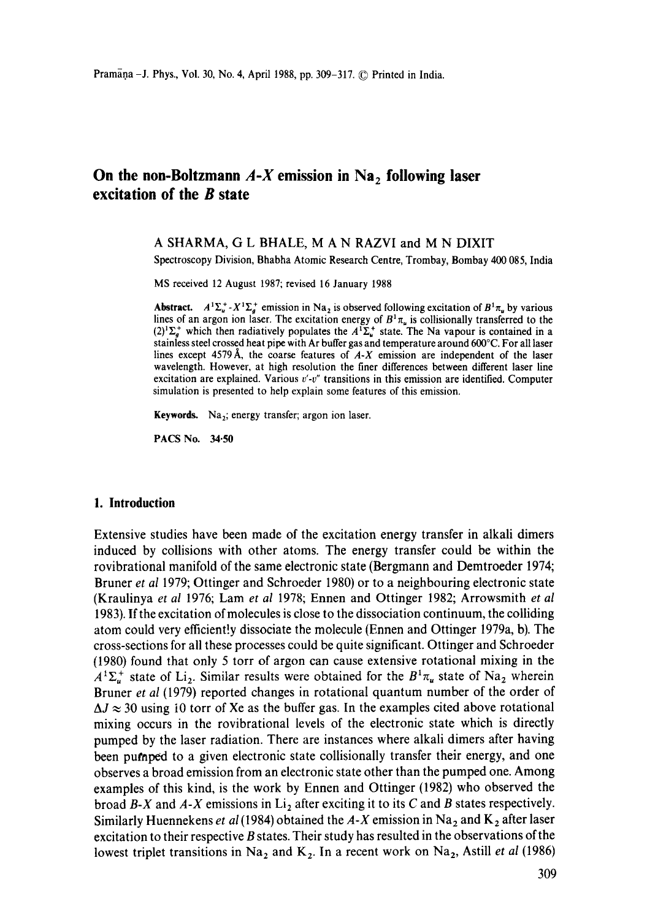# On the non-Boltzmann  $A-X$  emission in  $Na<sub>2</sub>$  following laser **excitation of the B state**

## A SHARMA, G L BHALE, M A N RAZVI and M N DIXIT

Spectroscopy Division, Bhabha Atomic Research Centre, Trombay, Bombay 400 085, India

MS received 12 August 1987; revised 16 January 1988

**Abstract.**  $A^1\Sigma_u^+ - X^1\Sigma_g^+$  emission in Na<sub>2</sub> is observed following excitation of  $B^1\pi_u$  by various lines of an argon ion laser. The excitation energy of  $B^1\pi_{\mu}$  is collisionally transferred to the  $(2)^{1}\Sigma_{g}^{+}$  which then radiatively populates the  $A^{1}\Sigma_{u}^{+}$  state. The Na vapour is contained in a stainless steel crossed heat pipe with Ar buffer gas and temperature around 600°C. For all laser lines except 4579A, the coarse features of *A-X* emission are independent of **the laser**  wavelength. However, at high resolution the finer differences between different laser line excitation are explained. Various *v'-v"* transitions in this emission are identified. Computer simulation is presented to help explain some features of this emission.

Keywords. Na<sub>2</sub>; energy transfer; argon ion laser.

PACS No. **34.50** 

#### **1. Introduction**

Extensive studies have been made of the excitation energy transfer in alkali dimers induced by collisions with other atoms. The energy transfer could be within the rovibrational manifold of the same electronic state (Bergmann and Demtroeder 1974; Bruner *et al* 1979; Ottinger and Schroeder 1980) or to a neighbouring electronic state (Kraulinya *et al* 1976; Lam *et al* 1978; Ennen and Ottinger 1982; Arrowsmith *et al*  1983). If the excitation of molecules is close to the dissociation continuum, the colliding atom could very efficiently dissociate the molecule (Ennen and Ottinger 1979a, b). The cross-sections for all these processes could be quite significant. Ottinger and Schroeder (1980) found that only 5 torr of argon can cause extensive rotational mixing in the  $A^{T} \Sigma_{u}^{+}$  state of Li<sub>2</sub>. Similar results were obtained for the  $B^{T} \pi_{u}$  state of Na<sub>2</sub> wherein Bruner *et al* (1979) reported changes in rotational quantum number of the order of  $\Delta J \approx 30$  using 10 torr of Xe as the buffer gas. In the examples cited above rotational mixing occurs in the rovibrational levels of the electronic state which is directly pumped by the laser radiation. There are instances where alkali dimers after having been pumped to a given electronic state collisionally transfer their energy, and one observes a broad emission from an electronic state other than the pumped one. Among examples of this kind, is the work by Ennen and Ottinger (1982) who observed the broad  $B-X$  and  $A-X$  emissions in  $Li<sub>2</sub>$  after exciting it to its C and B states respectively. Similarly Huennekens *et al* (1984) obtained the  $A-X$  emission in Na<sub>2</sub> and K<sub>2</sub> after laser excitation to their respective B states. Their study has resulted in the observations of the lowest triplet transitions in Na<sub>2</sub> and K<sub>2</sub>. In a recent work on Na<sub>2</sub>, Astill *et al* (1986)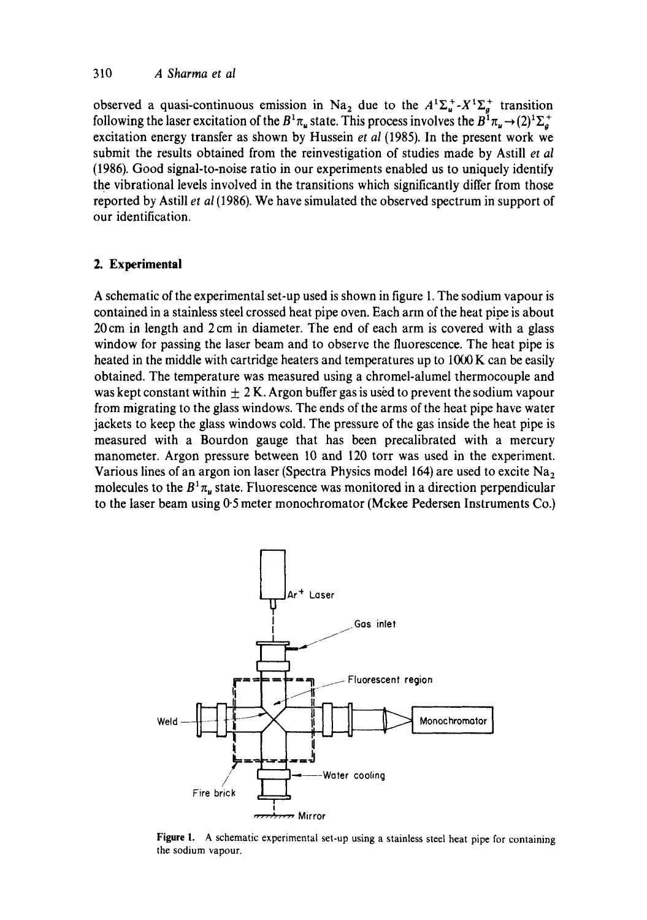observed a quasi-continuous emission in Na<sub>2</sub> due to the  $A^{1}\Sigma_{a}^{+} \cdot X^{1}\Sigma_{a}^{+}$  transition following the laser excitation of the  $B^1\pi_{\mu}$  state. This process involves the  $B^1\pi_{\mu} \rightarrow (2)^1\Sigma_a^+$ excitation energy transfer as shown by Hussein *et al* (1985). In the present work we submit the results obtained from the reinvestigation of studies made by Astill *et al*  (1986). Good signal-to-noise ratio in our experiments enabled us to uniquely identify the vibrational levels involved in the transitions which significantly differ from those reported by Astill *et al* (1986). We have simulated the observed spectrum in support of our identification.

### **2. Experimental**

A schematic of the experimental set-up used is shown in figure 1. The sodium vapour is contained in a stainless steel crossed heat pipe oven. Each ann of the heat pipe is about 20 cm in length and 2 cm in diameter. The end of each arm is covered with a glass window for passing the laser beam and to observe the fluorescence. The heat pipe is heated in the middle with cartridge heaters and temperatures up to 1000 K can be easily obtained. The temperature was measured using a chromel-alumel thermocouple and was kept constant within  $\pm 2$  K. Argon buffer gas is used to prevent the sodium vapour from migrating to the glass windows. The ends of the arms of the heat pipe have water jackets to keep the glass windows cold. The pressure of the gas inside the heat pipe is measured with a Bourdon gauge that has been precalibrated with a mercury manometer. Argon pressure between 10 and 120 torr was used in the experiment. Various lines of an argon ion laser (Spectra Physics model 164) are used to excite  $Na<sub>2</sub>$ molecules to the  $B^1 \pi_u$  state. Fluorescence was monitored in a direction perpendicular to the laser beam using 0.5 meter monochromator (Mckee Pedersen Instruments Co.)



Figure 1. A schematic experimental set-up using a stainless steel heat pipe for containing the sodium vapour.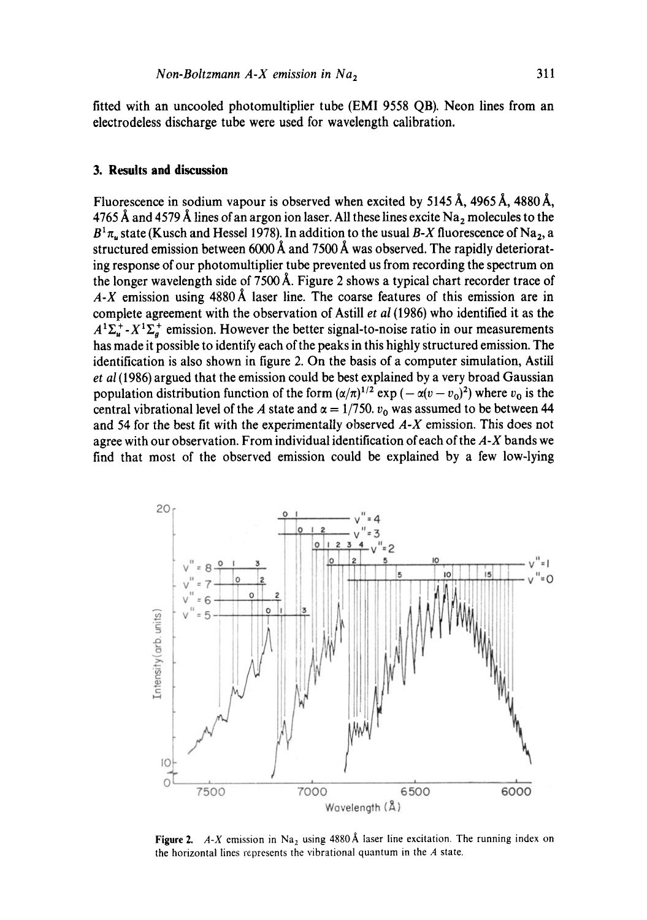fitted with an uncooled photomultiplier tube (EMI 9558 QB). Neon lines from an electrodeless discharge tube were used for wavelength calibration.

### **3. Results and discussion**

Fluorescence in sodium vapour is observed when excited by  $5145 \text{ Å}$ ,  $4965 \text{ Å}$ ,  $4880 \text{ Å}$ , 4765 Å and 4579 Å lines of an argon ion laser. All these lines excite Na<sub>2</sub> molecules to the  $B<sup>1</sup> \pi_u$  state (Kusch and Hessel 1978). In addition to the usual *B-X* fluorescence of Na<sub>2</sub>, a structured emission between 6000 Å and 7500 Å was observed. The rapidly deteriorating response of our photomultiplier tube prevented us from recording the spectrum on the longer wavelength side of 7500 Å. Figure 2 shows a typical chart recorder trace of *A-X* emission using 4880 A, laser line. The coarse features of this emission are in complete agreement with the observation of Astill *et al* (1986) who identified it as the  $A^{1}\Sigma_{u}^{+}$  -  $X^{1}\Sigma_{a}^{+}$  emission. However the better signal-to-noise ratio in our measurements has made it possible to identify each of the peaks in this highly structured emission. The identification is also shown in figure 2. On the basis of a computer simulation, Astill *et al* (1986) argued that the emission could be best explained by a very broad Gaussian population distribution function of the form  $(\alpha/\pi)^{1/2}$  exp  $(-\alpha(v - v_0)^2)$  where  $v_0$  is the central vibrational level of the A state and  $\alpha = 1/750$ .  $v_0$  was assumed to be between 44 and 54 for the best fit with the experimentally observed *A-X* emission. This does not agree with our observation. From individual identification of each of the *A-X* bands we find that most of the observed emission could be explained by a few low-lying



Figure 2.  $A-X$  emission in Na<sub>2</sub> using 4880 Å laser line excitation. The running index on the horizontal lines represents the vibrational quantum in the  $A$  state.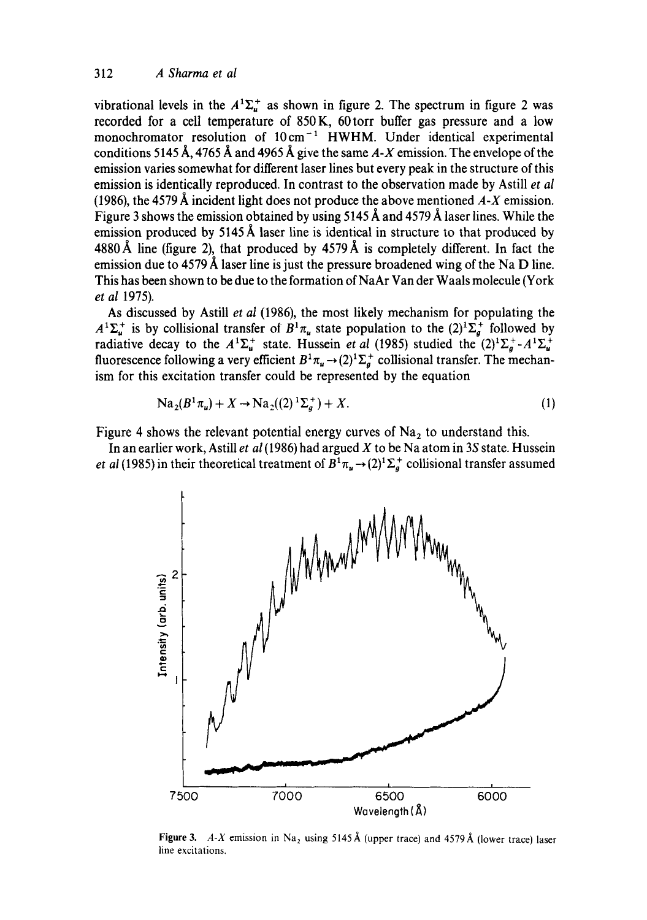vibrational levels in the  $A^1\Sigma_u^+$  as shown in figure 2. The spectrum in figure 2 was recorded for a cell temperature of 850K, 60torr buffer gas pressure and a low monochromator resolution of  $10 \text{ cm}^{-1}$  HWHM. Under identical experimental conditions 5145 Å, 4765 Å and 4965 Å give the same  $A-X$  emission. The envelope of the emission varies somewhat for different laser lines but every peak in the structure of this emission is identically reproduced. In contrast to the observation made by Astill *et al*  (1986), the 4579 A incident light does not produce the above mentioned *A-X* emission. Figure 3 shows the emission obtained by using  $5145 \text{ Å}$  and  $4579 \text{ Å}$  laser lines. While the emission produced by  $5145 \text{ Å}$  laser line is identical in structure to that produced by 4880 Å line (figure 2), that produced by 4579 Å is completely different. In fact the emission due to 4579 Å laser line is just the pressure broadened wing of the Na D line. This has been shown to be due to the formation of NaAr Van der Waals molecule (York *et al* 1975).

As discussed by Astill *et al* (1986), the most likely mechanism for populating the  $A^1\Sigma_u^+$  is by collisional transfer of  $B^1\pi_u$  state population to the  $(2)^1\Sigma_a^+$  followed by radiative decay to the  $A^1\Sigma_u^+$  state. Hussein *et al* (1985) studied the  $(2)^1\Sigma_g^+$ - $A^1\Sigma_u^+$ fluorescence following a very efficient  $B^1\pi_u \to (2)^1\Sigma_g^+$  collisional transfer. The mechanism for this excitation transfer could be represented by the equation

$$
Na_2(B^1\pi_u) + X \to Na_2((2)^1\Sigma_a^+) + X. \tag{1}
$$

Figure 4 shows the relevant potential energy curves of  $Na<sub>2</sub>$  to understand this.

In an earlier work, Astill et al (1986) had argued X to be Na atom in 3S state. Hussein *et al* (1985) in their theoretical treatment of  $B^1\pi_u \rightarrow (2)^1\Sigma_a^+$  collisional transfer assumed



Figure 3. *A-X* emission in Na<sub>2</sub> using 5145 Å (upper trace) and 4579 Å (lower trace) laser line excitations.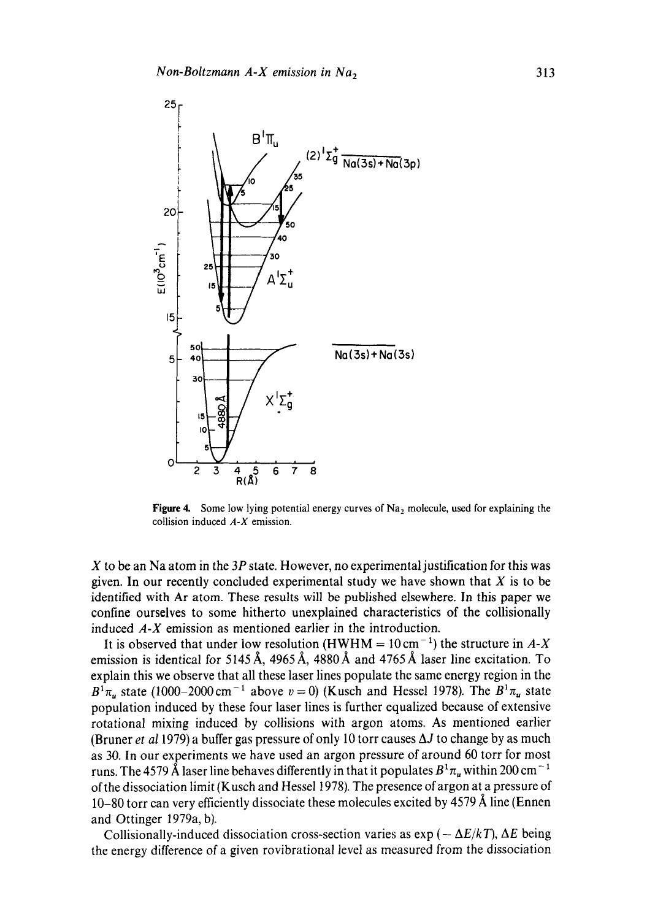

Figure 4. Some low lying potential energy curves of  $Na<sub>2</sub>$  molecule, used for explaining the collision induced *A-X* emission.

 $X$  to be an Na atom in the 3P state. However, no experimental justification for this was given. In our recently concluded experimental study we have shown that  $X$  is to be identified with Ar atom. These results will be published elsewhere. In this paper we confine ourselves to some hitherto unexplained characteristics of the collisionally induced *A-X* emission as mentioned earlier in the introduction.

It is observed that under low resolution (HWHM =  $10 \text{ cm}^{-1}$ ) the structure in *A-X* emission is identical for 5145 Å, 4965 Å, 4880 Å and 4765 Å laser line excitation. To explain this we observe that all these laser lines populate the same energy region in the  $B^1\pi_u$  state (1000-2000 cm<sup>-1</sup> above  $v = 0$ ) (Kusch and Hessel 1978). The  $B^1\pi_u$  state population induced by these four laser lines is further equalized because of extensive rotational mixing induced by collisions with argon atoms. As mentioned earlier (Bruner *et al* 1979) a buffer gas pressure of only 10 torr causes  $\Delta J$  to change by as much as 30. In our experiments we have used an argon pressure of around 60 torr for most runs. The 4579 Å laser line behaves differently in that it populates  $B^1\pi_u$  within 200 cm<sup>-1</sup> of the dissociation limit (Kusch and Hessel 1978). The presence of argon at a pressure of 10-80 torr can very efficiently dissociate these molecules excited by 4579 Å line (Ennen and Ottinger 1979a, b).

Collisionally-induced dissociation cross-section varies as  $\exp(-\Delta E/kT)$ ,  $\Delta E$  being the energy difference of a given rovibrational level as measured from the dissociation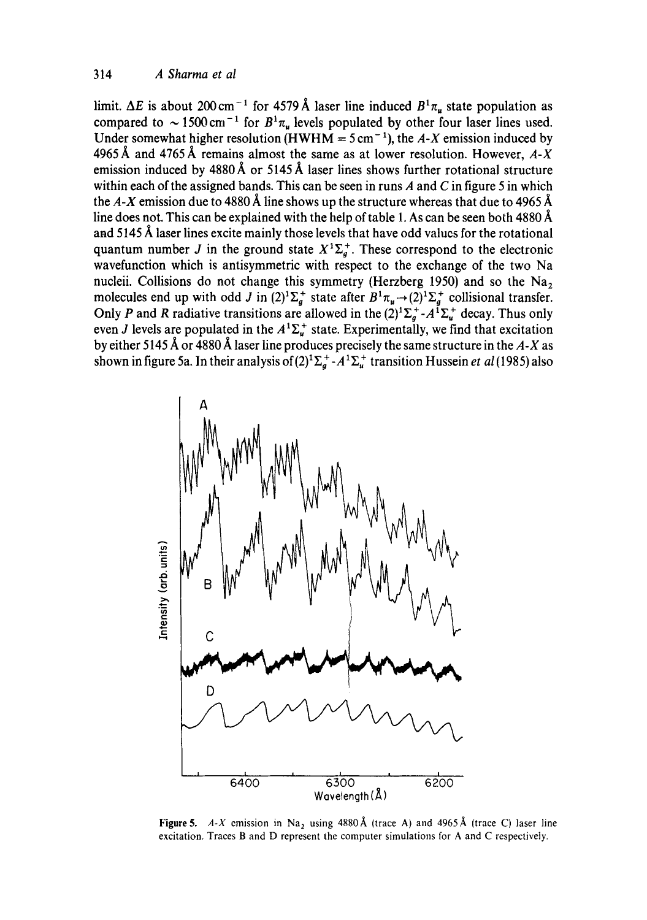limit.  $\Delta E$  is about 200 cm<sup>-1</sup> for 4579 Å laser line induced  $B^1\pi_u$  state population as compared to  $\sim 1500 \text{ cm}^{-1}$  for  $B^1 \pi_u$  levels populated by other four laser lines used. Under somewhat higher resolution (HWHM =  $5 \text{ cm}^{-1}$ ), the *A-X* emission induced by 4965 Å and 4765 Å remains almost the same as at lower resolution. However,  $A-X$ emission induced by  $4880 \text{\AA}$  or  $5145 \text{\AA}$  laser lines shows further rotational structure within each of the assigned bands. This can be seen in runs  $A$  and  $C$  in figure 5 in which the  $A-X$  emission due to 4880 Å line shows up the structure whereas that due to 4965 Å line does not. This can be explained with the help of table 1. As can be seen both 4880  $\AA$ and 5145 Å laser lines excite mainly those levels that have odd values for the rotational quantum number J in the ground state  $X^1\Sigma_g^+$ . These correspond to the electronic wavefunction which is antisymmetric with respect to the exchange of the two Na nucleii. Collisions do not change this symmetry (Herzberg 1950) and so the  $Na<sub>2</sub>$ molecules end up with odd J in  $(2)^{1}\Sigma_{a}^{+}$  state after  $B^{1}\pi_{u} \rightarrow (2)^{1}\Sigma_{a}^{+}$  collisional transfer. Only P and R radiative transitions are allowed in the  $(2)^1\Sigma_d^*$ - $A^1\Sigma_u^+$  decay. Thus only even J levels are populated in the  $A^{T} \Sigma_{u}^{+}$  state. Experimentally, we find that excitation by either 5145 Å or 4880 Å laser line produces precisely the same structure in the A-X as shown in figure 5a. In their analysis of  $(2)^{1}\Sigma_{q}^{+}\text{-}A^{1}\Sigma_{u}^{+}$  transition Hussein *et al* (1985) also



Figure 5. *A-X* emission in Na<sub>2</sub> using 4880 Å (trace A) and 4965 Å (trace C) laser line excitation. Traces B and D represent the computer simulations for A and C respectively.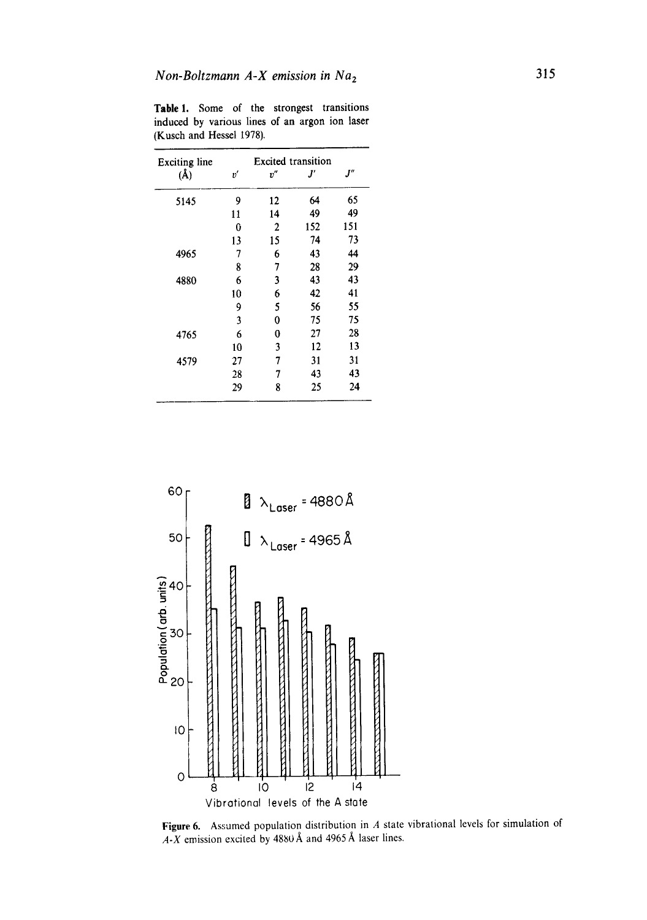| <b>Exciting line</b> |    | <b>Excited</b> transition |     |     |  |
|----------------------|----|---------------------------|-----|-----|--|
| $(\AA)$              | v' | v''                       | ľ   | "1  |  |
| 5145                 | 9  | 12                        | 64  | 65  |  |
|                      | 11 | 14                        | 49  | 49  |  |
|                      | 0  | $\overline{2}$            | 152 | 151 |  |
|                      | 13 | 15                        | 74  | 73  |  |
| 4965                 | 7  | 6                         | 43  | 44  |  |
|                      | 8  | 7                         | 28  | 29  |  |
| 4880                 | 6  | 3                         | 43  | 43  |  |
|                      | 10 | 6                         | 42  | 41  |  |
|                      | 9  | 5                         | 56  | 55  |  |
|                      | 3  | 0                         | 75  | 75  |  |
| 4765                 | 6  | 0                         | 27  | 28  |  |
|                      | 10 | 3                         | 12  | 13  |  |
| 4579                 | 27 | 7                         | 31  | 31  |  |
|                      | 28 | 7                         | 43  | 43  |  |
|                      | 29 | 8                         | 25  | 24  |  |

Table 1. Some of the strongest transitions induced by various lines of an argon ion laser (Kusch and Hessel 1978).



Figure 6. Assumed population distribution in A state vibrational levels for simulation of  $A-X$  emission excited by 4880 Å and 4965 Å laser lines.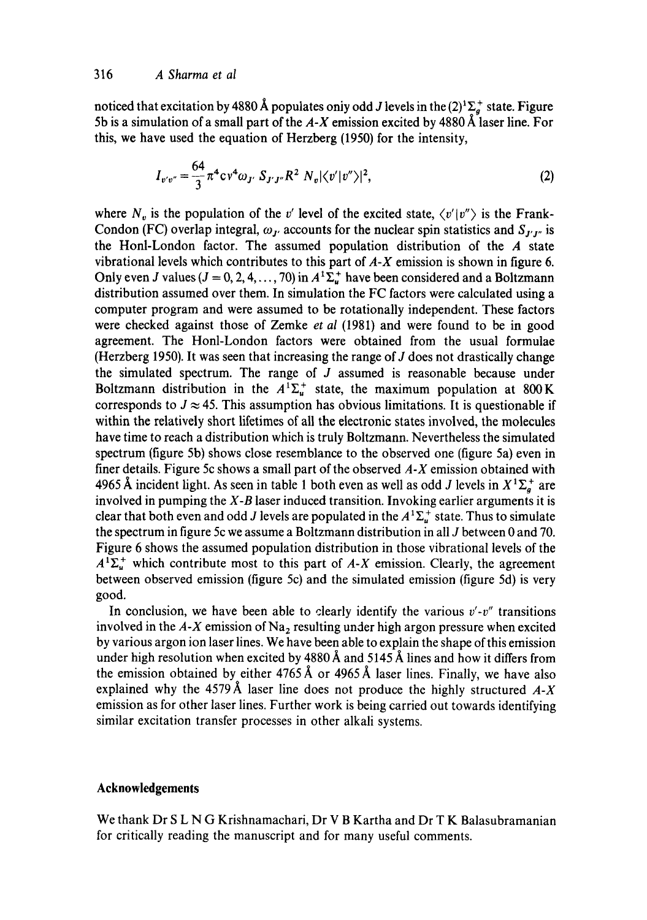noticed that excitation by 4880 Å populates only odd J levels in the  $(2)^{1}\Sigma_{g}^{+}$  state. Figure 5b is a simulation of a small part of the  $A-X$  emission excited by 4880  $\AA$  laser line. For this, we have used the equation of Herzberg (1950) for the intensity,

$$
I_{v'v''} = \frac{64}{3} \pi^4 c v^4 \omega_{J'} S_{J'J''} R^2 N_v |\langle v'|v''\rangle|^2,
$$
 (2)

where  $N_v$  is the population of the v' level of the excited state,  $\langle v'|v''\rangle$  is the Frank-Condon (FC) overlap integral,  $\omega_{I}$  accounts for the nuclear spin statistics and  $S_{I'I''}$  is the Honl-London factor. The assumed population distribution of the A state vibrational levels which contributes to this part of *A-X* emission is shown in figure 6. Only even J values ( $J = 0, 2, 4, ..., 70$ ) in  $A^{T} \Sigma_{u}^{+}$  have been considered and a Boltzmann distribution assumed over them. In simulation the FC factors were calculated using a computer program and were assumed to be rotationally independent. These factors were checked against those of Zemke *et al* (1981) and were found to be in good agreement. The Honl-London factors were obtained from the usual formulae (Herzberg 1950). It was seen that increasing the range of  $J$  does not drastically change the simulated spectrum. The range of  $J$  assumed is reasonable because under Boltzmann distribution in the  $A^1\Sigma_u^+$  state, the maximum population at 800 K corresponds to  $J \approx 45$ . This assumption has obvious limitations. It is questionable if within the relatively short lifetimes of all the electronic states involved, the molecules have time to reach a distribution which is truly Boltzmann. Nevertheless the simulated spectrum (figure 5b) shows close resemblance to the observed one (figure 5a) even in finer details. Figure 5c shows a small part of the observed *A-X* emission obtained with 4965 Å incident light. As seen in table 1 both even as well as odd J levels in  $X^1\Sigma_g^+$  are involved in pumping the *X-B* laser induced transition. Invoking earlier arguments it is clear that both even and odd J levels are populated in the  $A^1\Sigma^+_u$  state. Thus to simulate the spectrum in figure 5c we assume a Boltzmann distribution in all J between 0 and 70. Figure 6 shows the assumed population distribution in those vibrational levels of the  $A^{1}\Sigma_{u}^{+}$  which contribute most to this part of A-X emission. Clearly, the agreement between observed emission (figure 5c) and the simulated emission (figure 5d) is very good.

In conclusion, we have been able to clearly identify the various *v'-v"* transitions involved in the  $A-X$  emission of  $Na<sub>2</sub>$  resulting under high argon pressure when excited by various argon ion laser lines. We have been able to explain the shape of this emission under high resolution when excited by 4880  $\AA$  and 5145  $\AA$  lines and how it differs from the emission obtained by either  $4765 \text{\AA}$  or  $4965 \text{\AA}$  laser lines. Finally, we have also explained why the 4579 Å laser line does not produce the highly structured  $A-X$ emission as for other laser lines. Further work is being carried out towards identifying similar excitation transfer processes in other alkali systems.

## **Acknowledgements**

We thank Dr S L N G Krishnamachari, Dr V B Kartha and Dr T K Balasubramanian for critically reading the manuscript and for many useful comments.